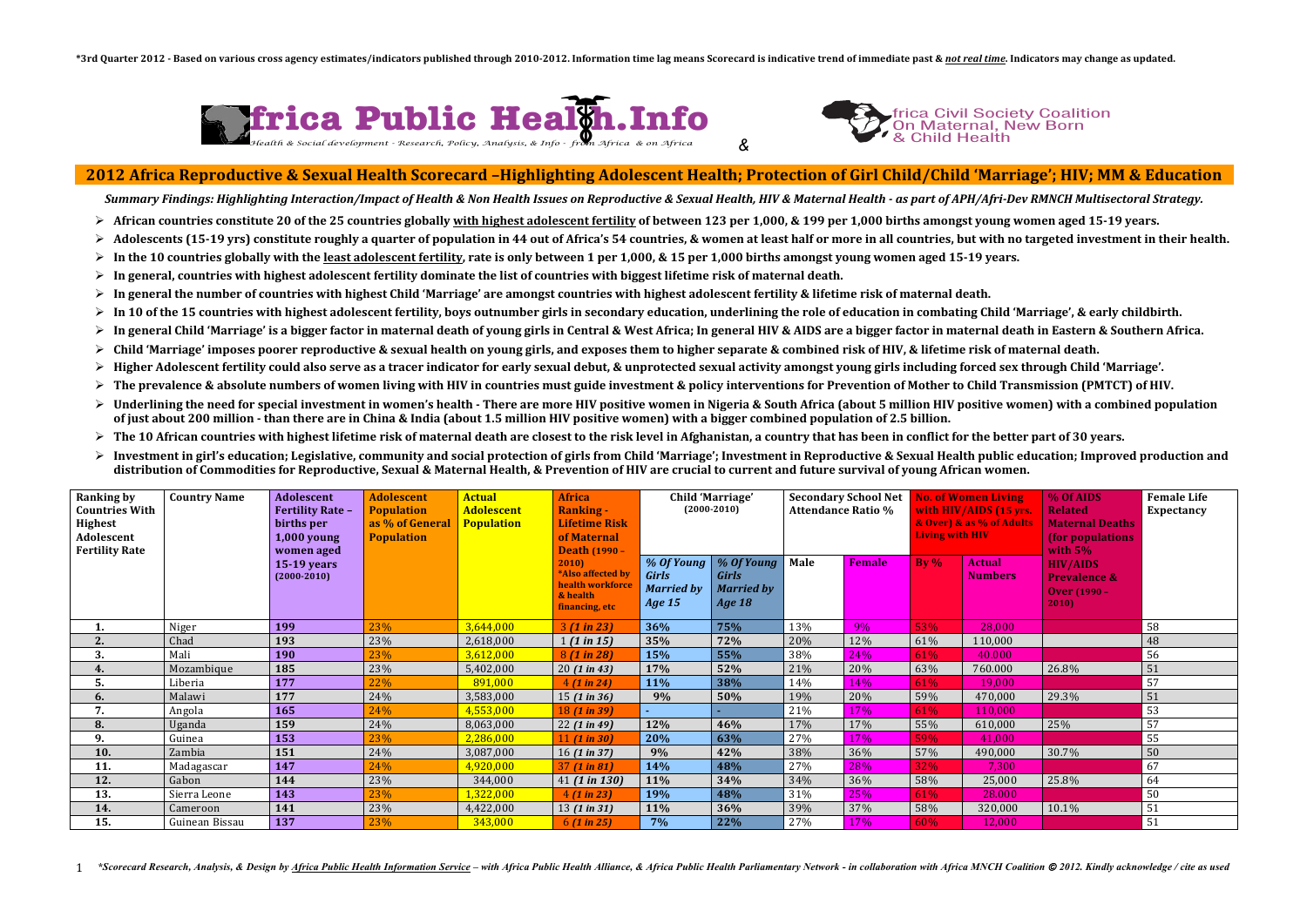## frica Civil Society Coalition frica Civil Society Coalit<br>On Maternal, New Born



| <b>Ranking by</b><br><b>Countries With</b><br><b>Highest</b><br>Adolescent<br><b>Fertility Rate</b> | <b>Country Name</b> | Adolescent<br><b>Fertility Rate -</b><br>births per<br>1,000 young<br>women aged | <b>Adolescent</b><br><b>Population</b><br>as % of General<br><b>Population</b> | <b>Actual</b><br><b>Adolescent</b><br><b>Population</b> | <b>Africa</b><br><b>Ranking -</b><br><b>Lifetime Risk</b><br>of Maternal<br><b>Death (1990 -</b> | Child 'Marriage'<br>$(2000-2010)$                         |                                                                  | <b>Secondary School Net</b><br><b>Attendance Ratio %</b> |               | <b>No. of Women Living</b><br>with HIV/AIDS (15 yrs.<br>& Over) & as % of Adults<br><b>Living with HIV</b> |                                 | % Of AIDS<br><b>Related</b><br><b>Maternal Deaths</b><br>(for populations)<br>with $5\%$ | <b>Female Life</b><br><b>Expectancy</b> |
|-----------------------------------------------------------------------------------------------------|---------------------|----------------------------------------------------------------------------------|--------------------------------------------------------------------------------|---------------------------------------------------------|--------------------------------------------------------------------------------------------------|-----------------------------------------------------------|------------------------------------------------------------------|----------------------------------------------------------|---------------|------------------------------------------------------------------------------------------------------------|---------------------------------|------------------------------------------------------------------------------------------|-----------------------------------------|
|                                                                                                     |                     | 15-19 years<br>$(2000-2010)$                                                     |                                                                                |                                                         | 2010<br>*Also affected by<br>health workforce<br>& health<br>financing, etc                      | % Of Young<br><b>Girls</b><br><b>Married by</b><br>Age 15 | % Of Young<br><b>Girls</b><br><b>Married by</b><br><b>Age 18</b> | Male                                                     | <b>Female</b> | By $%$                                                                                                     | <b>Actual</b><br><b>Numbers</b> | <b>HIV/AIDS</b><br><b>Prevalence &amp;</b><br><b>Over (1990 -</b><br>2010                |                                         |
| ı.                                                                                                  | Niger               | 199                                                                              | 23%                                                                            | 3,644,000                                               | 3(1 in 23)                                                                                       | 36%                                                       | 75%                                                              | 13%                                                      | 9%            | 53%                                                                                                        | 28,000                          |                                                                                          | 58                                      |
| 2.                                                                                                  | Chad                | 193                                                                              | 23%                                                                            | 2,618,000                                               | 1(1 in 15)                                                                                       | 35%                                                       | 72%                                                              | 20%                                                      | 12%           | 61%                                                                                                        | 110,000                         |                                                                                          | 48                                      |
| 3.                                                                                                  | Mali                | 190                                                                              | 23%                                                                            | 3,612,000                                               | 8(1 in 28)                                                                                       | 15%                                                       | 55%                                                              | 38%                                                      | 24%           | 61%                                                                                                        | 40.000                          |                                                                                          | 56                                      |
| 4.                                                                                                  | Mozambique          | 185                                                                              | 23%                                                                            | 5,402,000                                               | 20(1 in 43)                                                                                      | 17%                                                       | 52%                                                              | 21%                                                      | 20%           | 63%                                                                                                        | 760.000                         | 26.8%                                                                                    | 51                                      |
| Ⴢ.                                                                                                  | Liberia             | 177                                                                              | 22%                                                                            | 891,000                                                 | 4(1 in 24)                                                                                       | 11%                                                       | 38%                                                              | 14%                                                      | 14%           | 61%                                                                                                        | 19,000                          |                                                                                          | 57                                      |
| 6.                                                                                                  | Malawi              | 177                                                                              | 24%                                                                            | 3,583,000                                               | 15 (1 in 36)                                                                                     | 9%                                                        | 50%                                                              | 19%                                                      | 20%           | 59%                                                                                                        | 470,000                         | 29.3%                                                                                    | 51                                      |
| 7.                                                                                                  | Angola              | 165                                                                              | 24%                                                                            | 4,553,000                                               | 18(1 in 39)                                                                                      |                                                           |                                                                  | 21%                                                      | 17%           | 61%                                                                                                        | 110,000                         |                                                                                          | 53                                      |
| 8.                                                                                                  | Uganda              | 159                                                                              | 24%                                                                            | 8,063,000                                               | 22(1 in 49)                                                                                      | 12%                                                       | 46%                                                              | 17%                                                      | 17%           | 55%                                                                                                        | 610,000                         | 25%                                                                                      | 57                                      |
| 9.                                                                                                  | Guinea              | 153                                                                              | 23%                                                                            | 2,286,000                                               | 11 $(1 in 30)$                                                                                   | 20%                                                       | 63%                                                              | 27%                                                      | 17%           | 59%                                                                                                        | 41,000                          |                                                                                          | 55                                      |
| 10.                                                                                                 | Zambia              | 151                                                                              | 24%                                                                            | 3,087,000                                               | 16(1 in 37)                                                                                      | 9%                                                        | 42%                                                              | 38%                                                      | 36%           | 57%                                                                                                        | 490,000                         | 30.7%                                                                                    | 50                                      |
| 11.                                                                                                 | Madagascar          | 147                                                                              | 24%                                                                            | 4,920,000                                               | $37(1 \text{ in } 81)$                                                                           | 14%                                                       | 48%                                                              | 27%                                                      | 28%           | 32%                                                                                                        | 7,300                           |                                                                                          | 67                                      |
| 12.                                                                                                 | Gabon               | 144                                                                              | 23%                                                                            | 344,000                                                 | 41(1 in 130)                                                                                     | 11%                                                       | 34%                                                              | 34%                                                      | 36%           | 58%                                                                                                        | 25,000                          | 25.8%                                                                                    | 64                                      |
| 13.                                                                                                 | Sierra Leone        | 143                                                                              | 23%                                                                            | 1,322,000                                               | 4(1 in 23)                                                                                       | 19%                                                       | 48%                                                              | 31%                                                      | 25%           | 61%                                                                                                        | 28.000                          |                                                                                          | 50                                      |
| 14.                                                                                                 | Cameroon            | 141                                                                              | 23%                                                                            | 4,422,000                                               | 13 $(1 in 31)$                                                                                   | 11%                                                       | 36%                                                              | 39%                                                      | 37%           | 58%                                                                                                        | 320,000                         | 10.1%                                                                                    | 51                                      |
| 15.                                                                                                 | Guinean Bissau      | 137                                                                              | 23%                                                                            | 343,000                                                 | 6(1 in 25)                                                                                       | 7%                                                        | 22%                                                              | 27%                                                      | 17%           | 60%                                                                                                        | 12,000                          |                                                                                          | 51                                      |



## **2012 Africa Reproductive & Sexual Health Scorecard -Highlighting Adolescent Health; Protection of Girl Child/Child 'Marriage'; HIV; MM & Education**

Summary Findings: Highlighting Interaction/Impact of Health & Non Health Issues on Reproductive & Sexual Health, HIV & Maternal Health - as part of APH/Afri-Dev RMNCH Multisectoral Strategy.

- $\triangleright$  African countries constitute 20 of the 25 countries globally with highest adolescent fertility of between 123 per 1,000, & 199 per 1,000 births amongst young women aged 15-19 years.
- $\triangleright$  Adolescents (15-19 vrs) constitute roughly a quarter of population in 44 out of Africa's 54 countries, & women at least half or more in all countries, but with no targeted investment in their health.
- $\triangleright$  In the 10 countries globally with the least adolescent fertility, rate is only between 1 per 1,000, & 15 per 1,000 births amongst young women aged 15-19 years.
- $\triangleright$  In general, countries with highest adolescent fertility dominate the list of countries with biggest lifetime risk of maternal death.
- $\triangleright$  In general the number of countries with highest Child 'Marriage' are amongst countries with highest adolescent fertility & lifetime risk of maternal death.
- $\triangleright$  In 10 of the 15 countries with highest adolescent fertility, boys outnumber girls in secondary education, underlining the role of education in combating Child 'Marriage', & early childbirth.
- $\triangleright$  In general Child 'Marriage' is a bigger factor in maternal death of voung girls in Central & West Africa; In general HIV & AIDS are a bigger factor in maternal death in Eastern & Southern Africa.
- $\triangleright$  Child 'Marriage' imposes poorer reproductive & sexual health on young girls, and exposes them to higher separate & combined risk of HIV, & lifetime risk of maternal death.
- $\triangleright$  Higher Adolescent fertility could also serve as a tracer indicator for early sexual debut, & unprotected sexual activity amongst young girls including forced sex through Child 'Marriage'.
- $\triangleright$  The prevalence & absolute numbers of women living with HIV in countries must guide investment & policy interventions for Prevention of Mother to Child Transmission (PMTCT) of HIV.
- $\triangleright$  Underlining the need for special investment in women's health There are more HIV positive women in Nigeria & South Africa (about 5 million HIV positive women) with a combined population of just about 200 million - than there are in China & India (about 1.5 million HIV positive women) with a bigger combined population of 2.5 billion.
- $\triangleright$  The 10 African countries with highest lifetime risk of maternal death are closest to the risk level in Afghanistan, a country that has been in conflict for the better part of 30 years.
- Investment in girl's education; Legislative, community and social protection of girls from Child 'Marriage'; Investment in Reproductive & Sexual Health public education; Improved production and distribution of Commodities for Reproductive, Sexual & Maternal Health, & Prevention of HIV are crucial to current and future survival of young African women.